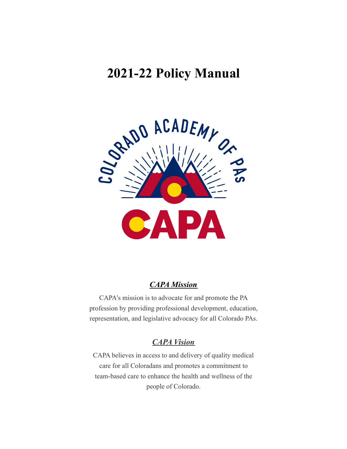# **2021-22 Policy Manual**



## *CAPA Mission*

CAPA's mission is to advocate for and promote the PA profession by providing professional development, education, representation, and legislative advocacy for all Colorado PAs.

# *CAPA Vision*

CAPA believes in access to and delivery of quality medical care for all Coloradans and promotes a commitment to team-based care to enhance the health and wellness of the people of Colorado.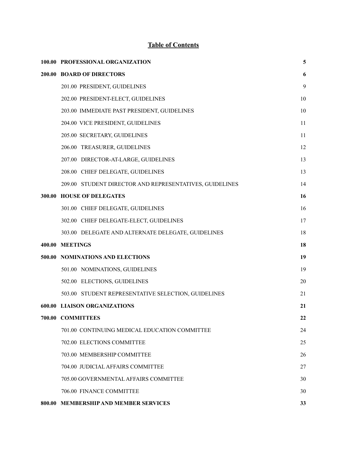# **Table of Contents**

|        | 100.00 PROFESSIONAL ORGANIZATION                        | 5  |
|--------|---------------------------------------------------------|----|
|        | 200.00 BOARD OF DIRECTORS                               | 6  |
|        | 201.00 PRESIDENT, GUIDELINES                            | 9  |
|        | 202.00 PRESIDENT-ELECT, GUIDELINES                      | 10 |
|        | 203.00 IMMEDIATE PAST PRESIDENT, GUIDELINES             | 10 |
|        | 204.00 VICE PRESIDENT, GUIDELINES                       | 11 |
|        | 205.00 SECRETARY, GUIDELINES                            | 11 |
|        | 206.00 TREASURER, GUIDELINES                            | 12 |
|        | 207.00 DIRECTOR-AT-LARGE, GUIDELINES                    | 13 |
|        | 208.00 CHIEF DELEGATE, GUIDELINES                       | 13 |
|        | 209.00 STUDENT DIRECTOR AND REPRESENTATIVES, GUIDELINES | 14 |
| 300.00 | <b>HOUSE OF DELEGATES</b>                               | 16 |
|        | 301.00 CHIEF DELEGATE, GUIDELINES                       | 16 |
|        | 302.00 CHIEF DELEGATE-ELECT, GUIDELINES                 | 17 |
|        | 303.00 DELEGATE AND ALTERNATE DELEGATE, GUIDELINES      | 18 |
|        | 400.00 MEETINGS                                         | 18 |
|        | 500.00 NOMINATIONS AND ELECTIONS                        | 19 |
|        | 501.00 NOMINATIONS, GUIDELINES                          | 19 |
|        | 502.00 ELECTIONS, GUIDELINES                            | 20 |
|        | 503.00 STUDENT REPRESENTATIVE SELECTION, GUIDELINES     | 21 |
|        | <b>600.00 LIAISON ORGANIZATIONS</b>                     | 21 |
|        | 700.00 COMMITTEES                                       | 22 |
|        | 701.00 CONTINUING MEDICAL EDUCATION COMMITTEE           | 24 |
|        | 702.00 ELECTIONS COMMITTEE                              | 25 |
|        | 703.00 MEMBERSHIP COMMITTEE                             | 26 |
|        | 704.00 JUDICIAL AFFAIRS COMMITTEE                       | 27 |
|        | 705.00 GOVERNMENTAL AFFAIRS COMMITTEE                   | 30 |
|        | 706.00 FINANCE COMMITTEE                                | 30 |
|        | 800.00 MEMBERSHIP AND MEMBER SERVICES                   | 33 |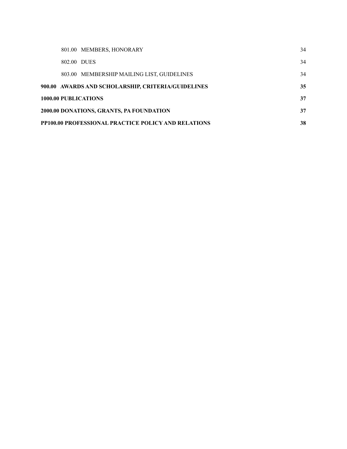|                                                |                                                                  | 801.00 MEMBERS, HONORARY                           | 34 |  |  |
|------------------------------------------------|------------------------------------------------------------------|----------------------------------------------------|----|--|--|
|                                                | 802.00 DUES                                                      |                                                    | 34 |  |  |
|                                                |                                                                  | 803.00 MEMBERSHIP MAILING LIST, GUIDELINES         | 34 |  |  |
|                                                |                                                                  | 900.00 AWARDS AND SCHOLARSHIP, CRITERIA/GUIDELINES | 35 |  |  |
| <b>1000.00 PUBLICATIONS</b><br>37              |                                                                  |                                                    |    |  |  |
| 2000.00 DONATIONS, GRANTS, PA FOUNDATION<br>37 |                                                                  |                                                    |    |  |  |
|                                                | <b>PP100.00 PROFESSIONAL PRACTICE POLICY AND RELATIONS</b><br>38 |                                                    |    |  |  |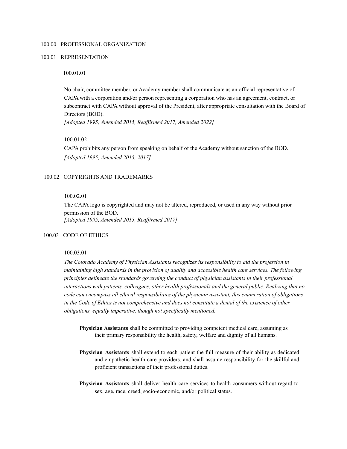#### <span id="page-3-0"></span>100.00 PROFESSIONAL ORGANIZATION

#### 100.01 REPRESENTATION

#### 100.01.01

No chair, committee member, or Academy member shall communicate as an official representative of CAPA with a corporation and/or person representing a corporation who has an agreement, contract, or subcontract with CAPA without approval of the President, after appropriate consultation with the Board of Directors (BOD).

*[Adopted 1995, Amended 2015, Reaf irmed 2017, Amended 2022]*

#### 100.01.02

CAPA prohibits any person from speaking on behalf of the Academy without sanction of the BOD. *[Adopted 1995, Amended 2015, 2017]*

#### 100.02 COPYRIGHTS AND TRADEMARKS

### 100.02.01

The CAPA logo is copyrighted and may not be altered, reproduced, or used in any way without prior permission of the BOD. *[Adopted 1995, Amended 2015, Reaf irmed 2017]*

#### 100.03 CODE OF ETHICS

### 100.03.01

*The Colorado Academy of Physician Assistants recognizes its responsibility to aid the profession in maintaining high standards in the provision of quality and accessible health care services. The following principles delineate the standards governing the conduct of physician assistants in their professional interactions with patients, colleagues, other health professionals and the general public. Realizing that no code can encompass all ethical responsibilities of the physician assistant, this enumeration of obligations* in the Code of Ethics is not comprehensive and does not constitute a denial of the existence of other *obligations, equally imperative, though not specifically mentioned.*

- **Physician Assistants** shall be committed to providing competent medical care, assuming as their primary responsibility the health, safety, welfare and dignity of all humans.
- **Physician Assistants** shall extend to each patient the full measure of their ability as dedicated and empathetic health care providers, and shall assume responsibility for the skillful and proficient transactions of their professional duties.
- **Physician Assistants** shall deliver health care services to health consumers without regard to sex, age, race, creed, socio-economic, and/or political status.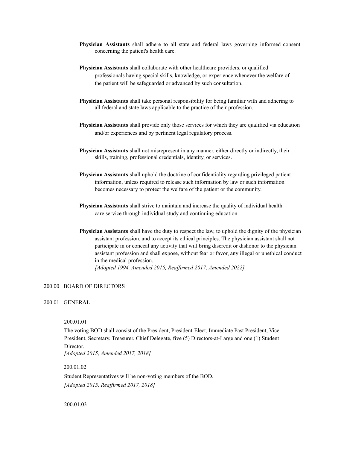- **Physician Assistants** shall adhere to all state and federal laws governing informed consent concerning the patient's health care.
- **Physician Assistants** shall collaborate with other healthcare providers, or qualified professionals having special skills, knowledge, or experience whenever the welfare of the patient will be safeguarded or advanced by such consultation.
- **Physician Assistants** shall take personal responsibility for being familiar with and adhering to all federal and state laws applicable to the practice of their profession.
- **Physician Assistants** shall provide only those services for which they are qualified via education and/or experiences and by pertinent legal regulatory process.
- **Physician Assistants** shall not misrepresent in any manner, either directly or indirectly, their skills, training, professional credentials, identity, or services.
- **Physician Assistants** shall uphold the doctrine of confidentiality regarding privileged patient information, unless required to release such information by law or such information becomes necessary to protect the welfare of the patient or the community.
- **Physician Assistants** shall strive to maintain and increase the quality of individual health care service through individual study and continuing education.
- **Physician Assistants** shall have the duty to respect the law, to uphold the dignity of the physician assistant profession, and to accept its ethical principles. The physician assistant shall not participate in or conceal any activity that will bring discredit or dishonor to the physician assistant profession and shall expose, without fear or favor, any illegal or unethical conduct in the medical profession.

*[Adopted 1994, Amended 2015, Reaf irmed 2017, Amended 2022]*

### <span id="page-4-0"></span>200.00 BOARD OF DIRECTORS

### 200.01 GENERAL

#### 200.01.01

The voting BOD shall consist of the President, President-Elect, Immediate Past President, Vice President, Secretary, Treasurer, Chief Delegate, five (5) Directors-at-Large and one (1) Student Director.

*[Adopted 2015, Amended 2017, 2018]*

200.01.02

Student Representatives will be non-voting members of the BOD. *[Adopted 2015, Reaf irmed 2017, 2018]*

#### 200.01.03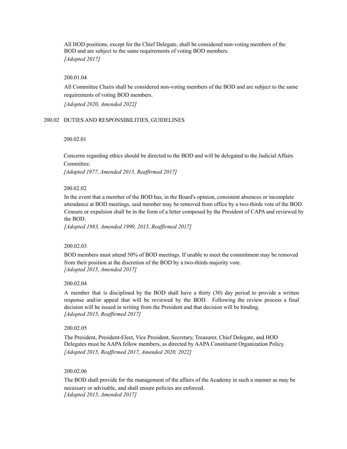All HOD positions, except for the Chief Delegate, shall be considered non-voting members of the BOD and are subject to the same requirements of voting BOD members. *[Adopted 2017]*

#### 200.01.04

All Committee Chairs shall be considered non-voting members of the BOD and are subject to the same requirements of voting BOD members.

*[Adopted 2020, Amended 2022]*

#### 200.02 DUTIES AND RESPONSIBILITIES, GUIDELINES

#### 200.02.01

Concerns regarding ethics should be directed to the BOD and will be delegated to the Judicial Affairs Committee.

*[Adopted 1977, Amended 2015, Reaf irmed 2017]*

#### 200.02.02

In the event that a member of the BOD has, in the Board's opinion, consistent absences or incomplete attendance at BOD meetings, said member may be removed from office by a two-thirds vote of the BOD. Censure or expulsion shall be in the form of a letter composed by the President of CAPA and reviewed by the BOD.

*[Adopted 1983, Amended 1990, 2015, Reaf irmed 2017]*

#### 200.02.03

BOD members must attend 50% of BOD meetings. If unable to meet the commitment may be removed from their position at the discretion of the BOD by a two-thirds majority vote. *[Adopted 2015, Amended 2017]*

#### 200.02.04

A member that is disciplined by the BOD shall have a thirty (30) day period to provide a written response and/or appeal that will be reviewed by the BOD. Following the review process a final decision will be issued in writing from the President and that decision will be binding. *[Adopted 2015, Reaf irmed 2017]*

#### 200.02.05

The President, President-Elect, Vice President, Secretary, Treasurer, Chief Delegate, and HOD Delegates must be AAPA fellow members, as directed by AAPA Constituent Organization Policy. *[Adopted 2015, Reaf irmed 2017, Amended 2020, 2022]*

#### 200.02.06

The BOD shall provide for the management of the affairs of the Academy in such a manner as may be necessary or advisable, and shall ensure policies are enforced. *[Adopted 2015, Amended 2017]*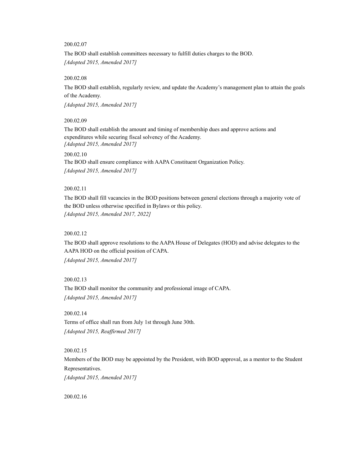### 200.02.07

The BOD shall establish committees necessary to fulfill duties charges to the BOD. *[Adopted 2015, Amended 2017]*

### 200.02.08

The BOD shall establish, regularly review, and update the Academy's management plan to attain the goals of the Academy.

*[Adopted 2015, Amended 2017]*

#### 200.02.09

The BOD shall establish the amount and timing of membership dues and approve actions and expenditures while securing fiscal solvency of the Academy. *[Adopted 2015, Amended 2017]*

#### 200.02.10

The BOD shall ensure compliance with AAPA Constituent Organization Policy. *[Adopted 2015, Amended 2017]*

#### 200.02.11

The BOD shall fill vacancies in the BOD positions between general elections through a majority vote of the BOD unless otherwise specified in Bylaws or this policy. *[Adopted 2015, Amended 2017, 2022]*

### 200.02.12

The BOD shall approve resolutions to the AAPA House of Delegates (HOD) and advise delegates to the AAPA HOD on the official position of CAPA. *[Adopted 2015, Amended 2017]*

200.02.13

The BOD shall monitor the community and professional image of CAPA. *[Adopted 2015, Amended 2017]*

200.02.14

Terms of office shall run from July 1st through June 30th. *[Adopted 2015, Reaf irmed 2017]*

### 200.02.15

Members of the BOD may be appointed by the President, with BOD approval, as a mentor to the Student Representatives.

*[Adopted 2015, Amended 2017]*

200.02.16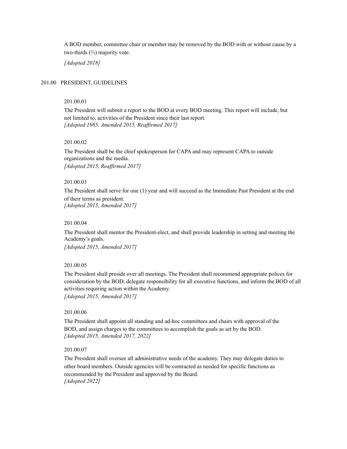A BOD member, committee chair or member may be removed by the BOD with or without cause by a two-thirds (⅔) majority vote.

*[Adopted 2018]*

### <span id="page-7-0"></span>201.00 PRESIDENT, GUIDELINES

#### 201.00.01

The President will submit a report to the BOD at every BOD meeting. This report will include, but not limited to, activities of the President since their last report. *[Adopted 1985, Amended 2015, Reaf irmed 2017]*

#### 201.00.02

The President shall be the chief spokesperson for CAPA and may represent CAPA to outside organizations and the media. *[Adopted 2015, Reaf irmed 2017]*

### 201.00.03

The President shall serve for one (1) year and will succeed as the Immediate Past President at the end of their terms as president. *[Adopted 2015, Amended 2017]*

#### 201.00.04

The President shall mentor the President-elect, and shall provide leadership in setting and meeting the Academy's goals.

*[Adopted 2015, Amended 2017]*

### 201.00.05

The President shall preside over all meetings. The President shall recommend appropriate polices for consideration by the BOD, delegate responsibility for all executive functions, and inform the BOD of all activities requiring action within the Academy.

*[Adopted 2015, Amended 2017]*

### 201.00.06

The President shall appoint all standing and ad-hoc committees and chairs with approval of the BOD, and assign charges to the committees to accomplish the goals as set by the BOD. *[Adopted 2015, Amended 2017, 2022]*

### 201.00.07

The President shall oversee all administrative needs of the academy. They may delegate duties to other board members. Outside agencies will be contracted as needed for specific functions as recommended by the President and approved by the Board. *[Adopted 2022]*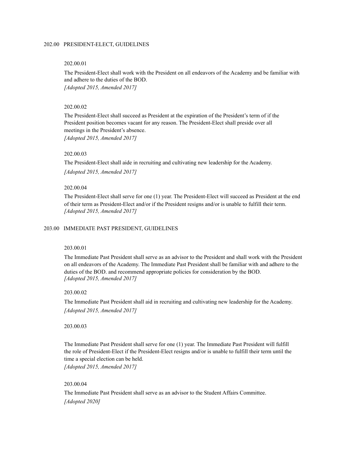### <span id="page-8-0"></span>202.00 PRESIDENT-ELECT, GUIDELINES

#### 202.00.01

The President-Elect shall work with the President on all endeavors of the Academy and be familiar with and adhere to the duties of the BOD. *[Adopted 2015, Amended 2017]*

#### 202.00.02

The President-Elect shall succeed as President at the expiration of the President's term of if the President position becomes vacant for any reason. The President-Elect shall preside over all meetings in the President's absence. *[Adopted 2015, Amended 2017]*

### 202.00.03

The President-Elect shall aide in recruiting and cultivating new leadership for the Academy.

*[Adopted 2015, Amended 2017]*

#### 202.00.04

The President-Elect shall serve for one (1) year. The President-Elect will succeed as President at the end of their term as President-Elect and/or if the President resigns and/or is unable to fulfill their term. *[Adopted 2015, Amended 2017]*

#### <span id="page-8-1"></span>203.00 IMMEDIATE PAST PRESIDENT, GUIDELINES

### 203.00.01

The Immediate Past President shall serve as an advisor to the President and shall work with the President on all endeavors of the Academy. The Immediate Past President shall be familiar with and adhere to the duties of the BOD. and recommend appropriate policies for consideration by the BOD. *[Adopted 2015, Amended 2017]*

#### 203.00.02

The Immediate Past President shall aid in recruiting and cultivating new leadership for the Academy. *[Adopted 2015, Amended 2017]*

#### 203.00.03

The Immediate Past President shall serve for one (1) year. The Immediate Past President will fulfill the role of President-Elect if the President-Elect resigns and/or is unable to fulfill their term until the time a special election can be held.

*[Adopted 2015, Amended 2017]*

### 203.00.04

The Immediate Past President shall serve as an advisor to the Student Affairs Committee. *[Adopted 2020]*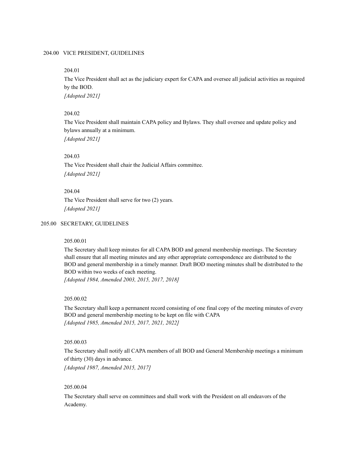### <span id="page-9-0"></span>204.00 VICE PRESIDENT, GUIDELINES

#### 204.01

The Vice President shall act as the judiciary expert for CAPA and oversee all judicial activities as required by the BOD.

*[Adopted 2021]*

### 204.02

The Vice President shall maintain CAPA policy and Bylaws. They shall oversee and update policy and bylaws annually at a minimum. *[Adopted 2021]*

#### 204.03

The Vice President shall chair the Judicial Affairs committee. *[Adopted 2021]*

#### 204.04

The Vice President shall serve for two (2) years. *[Adopted 2021]*

#### <span id="page-9-1"></span>205.00 SECRETARY, GUIDELINES

#### 205.00.01

The Secretary shall keep minutes for all CAPA BOD and general membership meetings. The Secretary shall ensure that all meeting minutes and any other appropriate correspondence are distributed to the BOD and general membership in a timely manner. Draft BOD meeting minutes shall be distributed to the BOD within two weeks of each meeting.

*[Adopted 1984, Amended 2003, 2015, 2017, 2018]*

#### 205.00.02

The Secretary shall keep a permanent record consisting of one final copy of the meeting minutes of every BOD and general membership meeting to be kept on file with CAPA *[Adopted 1985, Amended 2015, 2017, 2021, 2022]*

### 205.00.03

The Secretary shall notify all CAPA members of all BOD and General Membership meetings a minimum of thirty (30) days in advance.

*[Adopted 1987, Amended 2015, 2017]*

### 205.00.04

The Secretary shall serve on committees and shall work with the President on all endeavors of the Academy.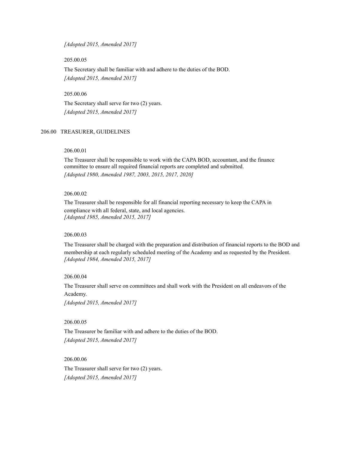*[Adopted 2015, Amended 2017]*

205.00.05

The Secretary shall be familiar with and adhere to the duties of the BOD. *[Adopted 2015, Amended 2017]*

205.00.06

The Secretary shall serve for two (2) years. *[Adopted 2015, Amended 2017]*

#### <span id="page-10-0"></span>206.00 TREASURER, GUIDELINES

#### 206.00.01

The Treasurer shall be responsible to work with the CAPA BOD, accountant, and the finance committee to ensure all required financial reports are completed and submitted. *[Adopted 1980, Amended 1987, 2003, 2015, 2017, 2020]*

### 206.00.02

The Treasurer shall be responsible for all financial reporting necessary to keep the CAPA in compliance with all federal, state, and local agencies. *[Adopted 1985, Amended 2015, 2017]*

#### 206.00.03

The Treasurer shall be charged with the preparation and distribution of financial reports to the BOD and membership at each regularly scheduled meeting of the Academy and as requested by the President. *[Adopted 1984, Amended 2015, 2017]*

#### 206.00.04

The Treasurer shall serve on committees and shall work with the President on all endeavors of the Academy.

*[Adopted 2015, Amended 2017]*

### 206.00.05

The Treasurer be familiar with and adhere to the duties of the BOD. *[Adopted 2015, Amended 2017]*

206.00.06

The Treasurer shall serve for two (2) years. *[Adopted 2015, Amended 2017]*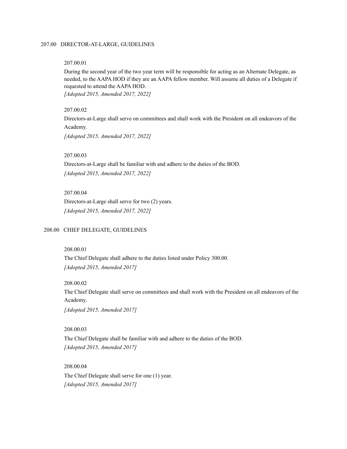### <span id="page-11-0"></span>207.00 DIRECTOR-AT-LARGE, GUIDELINES

#### 207.00.01

During the second year of the two year term will be responsible for acting as an Alternate Delegate, as needed, to the AAPA HOD if they are an AAPA fellow member. Will assume all duties of a Delegate if requested to attend the AAPA HOD.

*[Adopted 2015, Amended 2017, 2022]*

### 207.00.02

Directors-at-Large shall serve on committees and shall work with the President on all endeavors of the Academy.

*[Adopted 2015, Amended 2017, 2022]*

### 207.00.03

Directors-at-Large shall be familiar with and adhere to the duties of the BOD. *[Adopted 2015, Amended 2017, 2022]*

#### 207.00.04

Directors-at-Large shall serve for two (2) years. *[Adopted 2015, Amended 2017, 2022]*

#### <span id="page-11-1"></span>208.00 CHIEF DELEGATE, GUIDELINES

### 208.00.01

The Chief Delegate shall adhere to the duties listed under Policy 300.00. *[Adopted 2015, Amended 2017]*

208.00.02

The Chief Delegate shall serve on committees and shall work with the President on all endeavors of the Academy.

*[Adopted 2015, Amended 2017]*

#### 208.00.03

The Chief Delegate shall be familiar with and adhere to the duties of the BOD. *[Adopted 2015, Amended 2017]*

208.00.04 The Chief Delegate shall serve for one (1) year. *[Adopted 2015, Amended 2017]*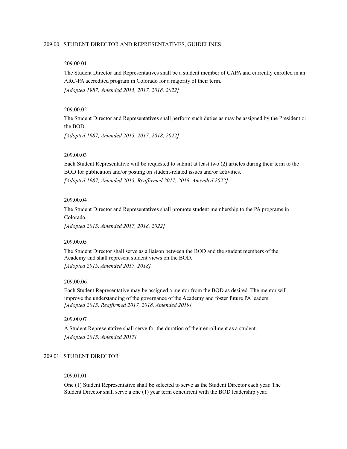### <span id="page-12-0"></span>209.00 STUDENT DIRECTOR AND REPRESENTATIVES, GUIDELINES

#### 209.00.01

The Student Director and Representatives shall be a student member of CAPA and currently enrolled in an ARC-PA accredited program in Colorado for a majority of their term.

*[Adopted 1987, Amended 2015, 2017, 2018, 2022]*

### 209.00.02

The Student Director and Representatives shall perform such duties as may be assigned by the President or the BOD.

*[Adopted 1987, Amended 2015, 2017, 2018, 2022]*

#### 209.00.03

Each Student Representative will be requested to submit at least two (2) articles during their term to the BOD for publication and/or posting on student-related issues and/or activities. *[Adopted 1987, Amended 2015, Reaf irmed 2017, 2018, Amended 2022]*

### 209.00.04

The Student Director and Representatives shall promote student membership to the PA programs in Colorado.

*[Adopted 2015, Amended 2017, 2018, 2022]*

### 209.00.05

The Student Director shall serve as a liaison between the BOD and the student members of the Academy and shall represent student views on the BOD. *[Adopted 2015, Amended 2017, 2018]*

#### 209.00.06

Each Student Representative may be assigned a mentor from the BOD as desired. The mentor will improve the understanding of the governance of the Academy and foster future PA leaders. *[Adopted 2015, Reaf irmed 2017, 2018, Amended 2019]*

#### 209.00.07

A Student Representative shall serve for the duration of their enrollment as a student. *[Adopted 2015, Amended 2017]*

### 209.01 STUDENT DIRECTOR

#### 209.01.01

One (1) Student Representative shall be selected to serve as the Student Director each year. The Student Director shall serve a one (1) year term concurrent with the BOD leadership year.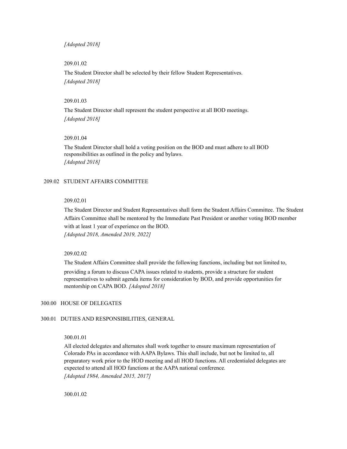*[Adopted 2018]*

#### 209.01.02

The Student Director shall be selected by their fellow Student Representatives. *[Adopted 2018]*

#### 209.01.03

The Student Director shall represent the student perspective at all BOD meetings. *[Adopted 2018]*

#### 209.01.04

The Student Director shall hold a voting position on the BOD and must adhere to all BOD responsibilities as outlined in the policy and bylaws. *[Adopted 2018]*

#### 209.02 STUDENT AFFAIRS COMMITTEE

### 209.02.01

The Student Director and Student Representatives shall form the Student Affairs Committee. The Student Affairs Committee shall be mentored by the Immediate Past President or another voting BOD member with at least 1 year of experience on the BOD. *[Adopted 2018, Amended 2019, 2022]*

### 209.02.02

The Student Affairs Committee shall provide the following functions, including but not limited to,

providing a forum to discuss CAPA issues related to students, provide a structure for student representatives to submit agenda items for consideration by BOD, and provide opportunities for mentorship on CAPA BOD. *[Adopted 2018]*

#### <span id="page-13-0"></span>300.00 HOUSE OF DELEGATES

#### 300.01 DUTIES AND RESPONSIBILITIES, GENERAL

### 300.01.01

All elected delegates and alternates shall work together to ensure maximum representation of Colorado PAs in accordance with AAPA Bylaws. This shall include, but not be limited to, all preparatory work prior to the HOD meeting and all HOD functions. All credentialed delegates are expected to attend all HOD functions at the AAPA national conference. *[Adopted 1984, Amended 2015, 2017]*

300.01.02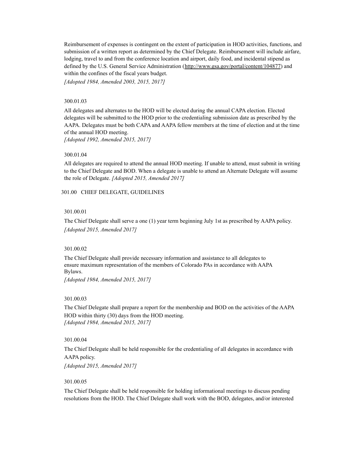Reimbursement of expenses is contingent on the extent of participation in HOD activities, functions, and submission of a written report as determined by the Chief Delegate. Reimbursement will include airfare, lodging, travel to and from the conference location and airport, daily food, and incidental stipend as defined by the U.S. General Service Administration ([http://www.gsa.gov/portal/content/104877\)](http://www.gsa.gov/portal/content/104877)) and within the confines of the fiscal years budget.

*[Adopted 1984, Amended 2003, 2015, 2017]*

### 300.01.03

All delegates and alternates to the HOD will be elected during the annual CAPA election. Elected delegates will be submitted to the HOD prior to the credentialing submission date as prescribed by the AAPA. Delegates must be both CAPA and AAPA fellow members at the time of election and at the time of the annual HOD meeting.

*[Adopted 1992, Amended 2015, 2017]*

### 300.01.04

All delegates are required to attend the annual HOD meeting. If unable to attend, must submit in writing to the Chief Delegate and BOD. When a delegate is unable to attend an Alternate Delegate will assume the role of Delegate. *[Adopted 2015, Amended 2017]*

<span id="page-14-0"></span>301.00 CHIEF DELEGATE, GUIDELINES

### 301.00.01

The Chief Delegate shall serve a one (1) year term beginning July 1st as prescribed by AAPA policy. *[Adopted 2015, Amended 2017]*

### 301.00.02

The Chief Delegate shall provide necessary information and assistance to all delegates to ensure maximum representation of the members of Colorado PAs in accordance with AAPA Bylaws.

*[Adopted 1984, Amended 2015, 2017]*

### 301.00.03

The Chief Delegate shall prepare a report for the membership and BOD on the activities of the AAPA HOD within thirty (30) days from the HOD meeting. *[Adopted 1984, Amended 2015, 2017]*

### 301.00.04

The Chief Delegate shall be held responsible for the credentialing of all delegates in accordance with AAPA policy.

*[Adopted 2015, Amended 2017]*

#### 301.00.05

The Chief Delegate shall be held responsible for holding informational meetings to discuss pending resolutions from the HOD. The Chief Delegate shall work with the BOD, delegates, and/or interested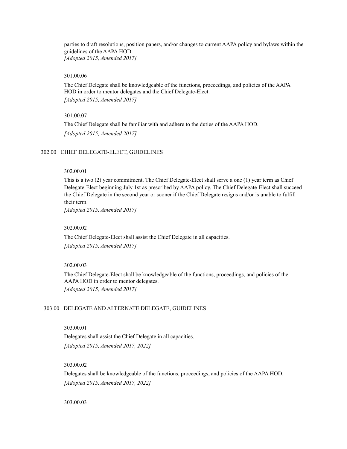parties to draft resolutions, position papers, and/or changes to current AAPA policy and bylaws within the guidelines of the AAPA HOD. *[Adopted 2015, Amended 2017]*

### 301.00.06

The Chief Delegate shall be knowledgeable of the functions, proceedings, and policies of the AAPA HOD in order to mentor delegates and the Chief Delegate-Elect. *[Adopted 2015, Amended 2017]*

### 301.00.07

The Chief Delegate shall be familiar with and adhere to the duties of the AAPA HOD. *[Adopted 2015, Amended 2017]*

#### <span id="page-15-0"></span>302.00 CHIEF DELEGATE-ELECT, GUIDELINES

### 302.00.01

This is a two (2) year commitment. The Chief Delegate-Elect shall serve a one (1) year term as Chief Delegate-Elect beginning July 1st as prescribed by AAPA policy. The Chief Delegate-Elect shall succeed the Chief Delegate in the second year or sooner if the Chief Delegate resigns and/or is unable to fulfill their term.

*[Adopted 2015, Amended 2017]*

### 302.00.02

The Chief Delegate-Elect shall assist the Chief Delegate in all capacities. *[Adopted 2015, Amended 2017]*

### 302.00.03

The Chief Delegate-Elect shall be knowledgeable of the functions, proceedings, and policies of the AAPA HOD in order to mentor delegates. *[Adopted 2015, Amended 2017]*

### <span id="page-15-1"></span>303.00 DELEGATE AND ALTERNATE DELEGATE, GUIDELINES

### 303.00.01

Delegates shall assist the Chief Delegate in all capacities. *[Adopted 2015, Amended 2017, 2022]*

### 303.00.02

Delegates shall be knowledgeable of the functions, proceedings, and policies of the AAPA HOD. *[Adopted 2015, Amended 2017, 2022]*

#### 303.00.03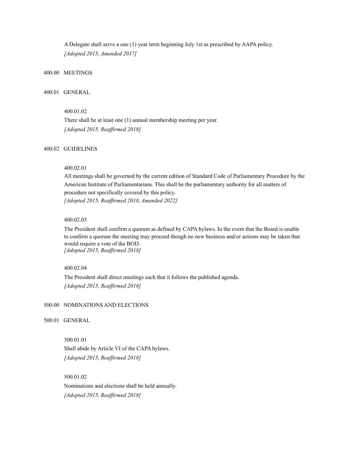A Delegate shall serve a one (1) year term beginning July 1st as prescribed by AAPA policy. *[Adopted 2015, Amended 2017]*

### <span id="page-16-0"></span>400.00 MEETINGS

### 400.01 GENERAL

### 400.01.02

There shall be at least one (1) annual membership meeting per year. *[Adopted 2015, Reaf irmed 2018]*

### 400.02 GUIDELINES

### 400.02.01

All meetings shall be governed by the current edition of Standard Code of Parliamentary Procedure by the American Institute of Parliamentarians. This shall be the parliamentary authority for all matters of procedure not specifically covered by this policy. *[Adopted 2015, Reaf irmed 2018, Amended 2022]*

#### 400.02.03

The President shall confirm a quorum as defined by CAPA bylaws. In the event that the Board is unable to confirm a quorum the meeting may proceed though no new business and/or actions may be taken that would require a vote of the BOD. *[Adopted 2015, Reaf irmed 2018]*

### 400.02.04

The President shall direct meetings such that it follows the published agenda. *[Adopted 2015, Reaf irmed 2018]*

### <span id="page-16-1"></span>500.00 NOMINATIONS AND ELECTIONS

#### 500.01 GENERAL

500.01.01 Shall abide by Article VI of the CAPA bylaws. *[Adopted 2015, Reaf irmed 2018]*

500.01.02 Nominations and elections shall be held annually. *[Adopted 2015, Reaf irmed 2018]*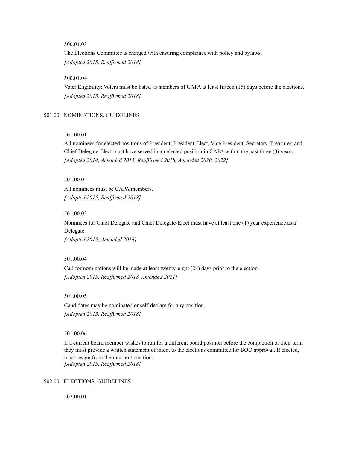### 500.01.03

The Elections Committee is charged with ensuring compliance with policy and bylaws. *[Adopted 2015, Reaf irmed 2018]*

### 500.01.04

Voter Eligibility: Voters must be listed as members of CAPA at least fifteen (15) days before the elections. *[Adopted 2015, Reaf irmed 2018]*

### <span id="page-17-0"></span>501.00 NOMINATIONS, GUIDELINES

### 501.00.01

All nominees for elected positions of President, President-Elect, Vice President, Secretary, Treasurer, and Chief Delegate-Elect must have served in an elected position in CAPA within the past three (3) years. *[Adopted 2014, Amended 2015, Reaf irmed 2018, Amended 2020, 2022]*

501.00.02

All nominees must be CAPA members. *[Adopted 2015, Reaf irmed 2018]*

#### 501.00.03

Nominees for Chief Delegate and Chief Delegate-Elect must have at least one (1) year experience as a Delegate.

*[Adopted 2015, Amended 2018]*

501.00.04

Call for nominations will be made at least twenty-eight (28) days prior to the election. *[Adopted 2015, Reaf irmed 2018, Amended 2021]*

501.00.05

Candidates may be nominated or self-declare for any position. *[Adopted 2015, Reaf irmed 2018]*

501.00.06

If a current board member wishes to run for a different board position before the completion of their term they must provide a written statement of intent to the elections committee for BOD approval. If elected, must resign from their current position. *[Adopted 2015, Reaf irmed 2018]*

<span id="page-17-1"></span>502.00 ELECTIONS, GUIDELINES

502.00.01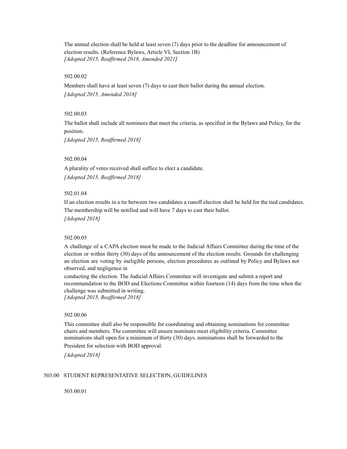The annual election shall be held at least seven (7) days prior to the deadline for announcement of election results. (Reference Bylaws, Article VI, Section 1B) *[Adopted 2015, Reaf irmed 2018, Amended 2021]*

#### 502.00.02

Members shall have at least seven (7) days to cast their ballot during the annual election. *[Adopted 2015, Amended 2018]*

### 502.00.03

The ballot shall include all nominees that meet the criteria, as specified in the Bylaws and Policy, for the position.

*[Adopted 2015, Reaf irmed 2018]*

### 502.00.04

A plurality of votes received shall suffice to elect a candidate. *[Adopted 2015, Reaf irmed 2018]*

### 502.01.04

If an election results in a tie between two candidates a runoff election shall be held for the tied candidates. The membership will be notified and will have 7 days to cast their ballot. *[Adopted 2018]*

#### 502.00.05

A challenge of a CAPA election must be made to the Judicial Affairs Committee during the time of the election or within thirty (30) days of the announcement of the election results. Grounds for challenging an election are voting by ineligible persons, election procedures as outlined by Policy and Bylaws not observed, and negligence in

conducting the election. The Judicial Affairs Committee will investigate and submit a report and recommendation to the BOD and Elections Committee within fourteen (14) days from the time when the challenge was submitted in writing. *[Adopted 2015, Reaf irmed 2018]*

#### 502.00.06

This committee shall also be responsible for coordinating and obtaining nominations for committee chairs and members. The committee will ensure nominees meet eligibility criteria. Committee nominations shall open for a minimum of thirty (30) days. nominations shall be forwarded to the President for selection with BOD approval.

*[Adopted 2018]*

#### <span id="page-18-0"></span>503.00 STUDENT REPRESENTATIVE SELECTION, GUIDELINES

503.00.01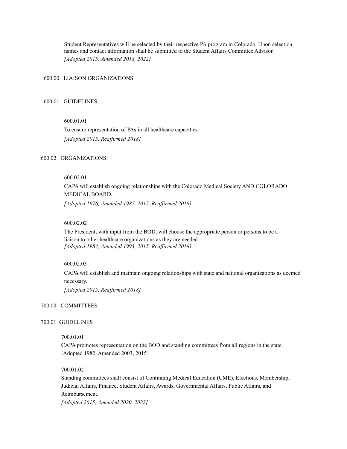Student Representatives will be selected by their respective PA program in Colorado. Upon selection, names and contact information shall be submitted to the Student Affairs Committee Advisor. *[Adopted 2015, Amended 2018, 2022]*

<span id="page-19-0"></span>600.00 LIAISON ORGANIZATIONS

#### 600.01 GUIDELINES

### 600.01.01

To ensure representation of PAs in all healthcare capacities. *[Adopted 2015, Reaf irmed 2018]*

### 600.02 ORGANIZATIONS

### 600.02.01

CAPA will establish ongoing relationships with the Colorado Medical Society AND COLORADO MEDICAL BOARD. *[Adopted 1976, Amended 1987, 2015, Reaf irmed 2018]*

#### 600.02.02

The President, with input from the BOD, will choose the appropriate person or persons to be a liaison to other healthcare organizations as they are needed. *[Adopted 1984, Amended 1993, 2015, Reaf irmed 2018]*

#### 600.02.03

CAPA will establish and maintain ongoing relationships with state and national organizations as deemed necessary. *[Adopted 2015, Reaf irmed 2018]*

### <span id="page-19-1"></span>700.00 COMMITTEES

#### 700.01 GUIDELINES

#### 700.01.01

CAPA promotes representation on the BOD and standing committees from all regions in the state. [Adopted 1982, Amended 2003, 2015]

#### 700.01.02

Standing committees shall consist of Continuing Medical Education (CME), Elections, Membership, Judicial Affairs, Finance, Student Affairs, Awards, Governmental Affairs, Public Affairs, and Reimbursement. *[Adopted 2015, Amended 2020, 2022]*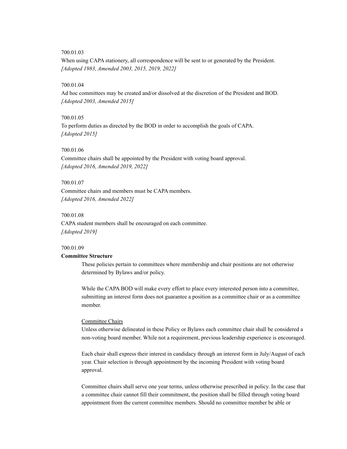### 700.01.03

When using CAPA stationery, all correspondence will be sent to or generated by the President. *[Adopted 1983, Amended 2003, 2015, 2019, 2022]*

#### 700.01.04

Ad hoc committees may be created and/or dissolved at the discretion of the President and BOD. *[Adopted 2003, Amended 2015]*

### 700.01.05

To perform duties as directed by the BOD in order to accomplish the goals of CAPA. *[Adopted 2015]*

#### 700.01.06

Committee chairs shall be appointed by the President with voting board approval. *[Adopted 2016, Amended 2019, 2022]*

#### 700.01.07

Committee chairs and members must be CAPA members. *[Adopted 2016, Amended 2022]*

### 700.01.08

CAPA student members shall be encouraged on each committee. *[Adopted 2019]*

#### 700.01.09

### **Committee Structure**

These policies pertain to committees where membership and chair positions are not otherwise determined by Bylaws and/or policy.

While the CAPA BOD will make every effort to place every interested person into a committee, submitting an interest form does not guarantee a position as a committee chair or as a committee member.

#### Committee Chairs

Unless otherwise delineated in these Policy or Bylaws each committee chair shall be considered a non-voting board member. While not a requirement, previous leadership experience is encouraged.

Each chair shall express their interest in candidacy through an interest form in July/August of each year. Chair selection is through appointment by the incoming President with voting board approval.

Committee chairs shall serve one year terms, unless otherwise prescribed in policy. In the case that a committee chair cannot fill their commitment, the position shall be filled through voting board appointment from the current committee members. Should no committee member be able or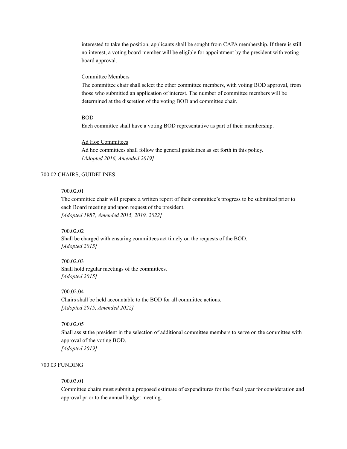interested to take the position, applicants shall be sought from CAPA membership. If there is still no interest, a voting board member will be eligible for appointment by the president with voting board approval.

#### Committee Members

The committee chair shall select the other committee members, with voting BOD approval, from those who submitted an application of interest. The number of committee members will be determined at the discretion of the voting BOD and committee chair.

#### BOD

Each committee shall have a voting BOD representative as part of their membership.

#### Ad Hoc Committees

Ad hoc committees shall follow the general guidelines as set forth in this policy. *[Adopted 2016, Amended 2019]*

#### 700.02 CHAIRS, GUIDELINES

### 700.02.01

The committee chair will prepare a written report of their committee's progress to be submitted prior to each Board meeting and upon request of the president. *[Adopted 1987, Amended 2015, 2019, 2022]*

700.02.02

Shall be charged with ensuring committees act timely on the requests of the BOD. *[Adopted 2015]*

700.02.03 Shall hold regular meetings of the committees. *[Adopted 2015]*

### 700.02.04

Chairs shall be held accountable to the BOD for all committee actions. *[Adopted 2015, Amended 2022]*

### 700.02.05

Shall assist the president in the selection of additional committee members to serve on the committee with approval of the voting BOD. *[Adopted 2019]*

### 700.03 FUNDING

#### 700.03.01

Committee chairs must submit a proposed estimate of expenditures for the fiscal year for consideration and approval prior to the annual budget meeting.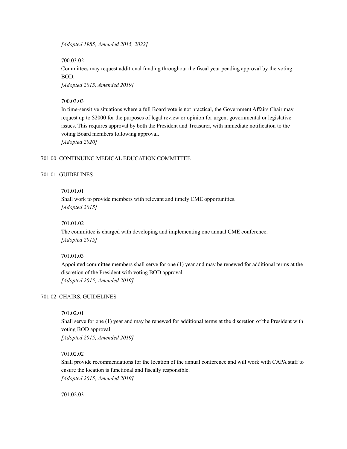*[Adopted 1985, Amended 2015, 2022]*

700.03.02

Committees may request additional funding throughout the fiscal year pending approval by the voting BOD.

*[Adopted 2015, Amended 2019]*

### 700.03.03

In time-sensitive situations where a full Board vote is not practical, the Government Affairs Chair may request up to \$2000 for the purposes of legal review or opinion for urgent governmental or legislative issues. This requires approval by both the President and Treasurer, with immediate notification to the voting Board members following approval. *[Adopted 2020]*

### <span id="page-22-0"></span>701.00 CONTINUING MEDICAL EDUCATION COMMITTEE

### 701.01 GUIDELINES

701.01.01

Shall work to provide members with relevant and timely CME opportunities. *[Adopted 2015]*

#### 701.01.02

The committee is charged with developing and implementing one annual CME conference. *[Adopted 2015]*

#### 701.01.03

Appointed committee members shall serve for one (1) year and may be renewed for additional terms at the discretion of the President with voting BOD approval. *[Adopted 2015, Amended 2019]*

### 701.02 CHAIRS, GUIDELINES

### 701.02.01

Shall serve for one (1) year and may be renewed for additional terms at the discretion of the President with voting BOD approval.

*[Adopted 2015, Amended 2019]*

### 701.02.02

Shall provide recommendations for the location of the annual conference and will work with CAPA staff to ensure the location is functional and fiscally responsible. *[Adopted 2015, Amended 2019]*

701.02.03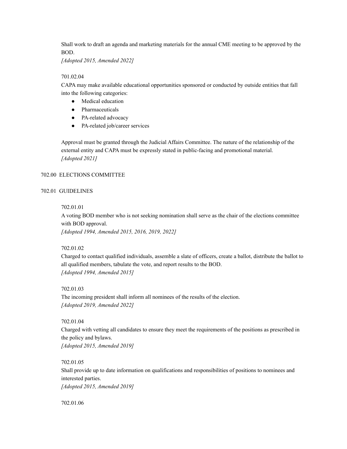Shall work to draft an agenda and marketing materials for the annual CME meeting to be approved by the BOD.

*[Adopted 2015, Amended 2022]*

### 701.02.04

CAPA may make available educational opportunities sponsored or conducted by outside entities that fall into the following categories:

- Medical education
- Pharmaceuticals
- PA-related advocacy
- PA-related job/career services

Approval must be granted through the Judicial Affairs Committee. The nature of the relationship of the external entity and CAPA must be expressly stated in public-facing and promotional material. *[Adopted 2021]*

### <span id="page-23-0"></span>702.00 ELECTIONS COMMITTEE

### 702.01 GUIDELINES

702.01.01

A voting BOD member who is not seeking nomination shall serve as the chair of the elections committee with BOD approval. *[Adopted 1994, Amended 2015, 2016, 2019, 2022]*

### 702.01.02

Charged to contact qualified individuals, assemble a slate of officers, create a ballot, distribute the ballot to all qualified members, tabulate the vote, and report results to the BOD. *[Adopted 1994, Amended 2015]*

### 702.01.03

The incoming president shall inform all nominees of the results of the election. *[Adopted 2019, Amended 2022]*

### 702.01.04

Charged with vetting all candidates to ensure they meet the requirements of the positions as prescribed in the policy and bylaws. *[Adopted 2015, Amended 2019]*

### 702.01.05

Shall provide up to date information on qualifications and responsibilities of positions to nominees and interested parties.

*[Adopted 2015, Amended 2019]*

702.01.06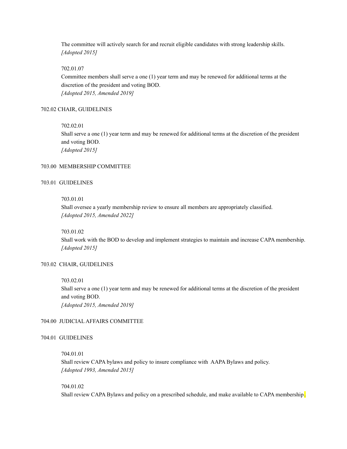The committee will actively search for and recruit eligible candidates with strong leadership skills. *[Adopted 2015]*

### 702.01.07

Committee members shall serve a one (1) year term and may be renewed for additional terms at the discretion of the president and voting BOD. *[Adopted 2015, Amended 2019]*

### 702.02 CHAIR, GUIDELINES

#### 702.02.01

Shall serve a one (1) year term and may be renewed for additional terms at the discretion of the president and voting BOD. *[Adopted 2015]*

### <span id="page-24-0"></span>703.00 MEMBERSHIP COMMITTEE

### 703.01 GUIDELINES

### 703.01.01

Shall oversee a yearly membership review to ensure all members are appropriately classified. *[Adopted 2015, Amended 2022]*

#### 703.01.02

Shall work with the BOD to develop and implement strategies to maintain and increase CAPA membership. *[Adopted 2015]*

### 703.02 CHAIR, GUIDELINES

### 703.02.01

Shall serve a one (1) year term and may be renewed for additional terms at the discretion of the president and voting BOD. *[Adopted 2015, Amended 2019]*

### <span id="page-24-1"></span>704.00 JUDICIAL AFFAIRS COMMITTEE

### 704.01 GUIDELINES

### 704.01.01 Shall review CAPA bylaws and policy to insure compliance with AAPA Bylaws and policy. *[Adopted 1993, Amended 2015]*

### 704.01.02 Shall review CAPA Bylaws and policy on a prescribed schedule, and make available to CAPA membership.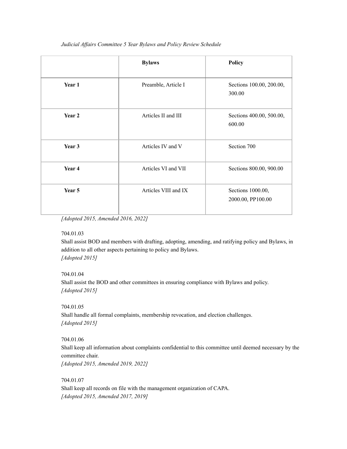|        | <b>Bylaws</b>        | <b>Policy</b>                          |
|--------|----------------------|----------------------------------------|
| Year 1 | Preamble, Article I  | Sections 100.00, 200.00,<br>300.00     |
| Year 2 | Articles II and III  | Sections 400.00, 500.00,<br>600.00     |
| Year 3 | Articles IV and V    | Section 700                            |
| Year 4 | Articles VI and VII  | Sections 800.00, 900.00                |
| Year 5 | Articles VIII and IX | Sections 1000.00,<br>2000.00, PP100.00 |

*Judicial Af airs Committee 5 Year Bylaws and Policy Review Schedule*

*[Adopted 2015, Amended 2016, 2022]*

### 704.01.03

Shall assist BOD and members with drafting, adopting, amending, and ratifying policy and Bylaws, in addition to all other aspects pertaining to policy and Bylaws. *[Adopted 2015]*

### 704.01.04

Shall assist the BOD and other committees in ensuring compliance with Bylaws and policy. *[Adopted 2015]*

704.01.05 Shall handle all formal complaints, membership revocation, and election challenges. *[Adopted 2015]*

704.01.06

Shall keep all information about complaints confidential to this committee until deemed necessary by the committee chair. *[Adopted 2015, Amended 2019, 2022]*

704.01.07 Shall keep all records on file with the management organization of CAPA. *[Adopted 2015, Amended 2017, 2019]*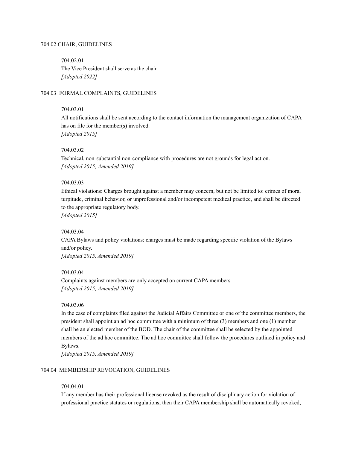#### 704.02 CHAIR, GUIDELINES

704.02.01 The Vice President shall serve as the chair. *[Adopted 2022]*

### 704.03 FORMAL COMPLAINTS, GUIDELINES

#### 704.03.01

All notifications shall be sent according to the contact information the management organization of CAPA has on file for the member(s) involved. *[Adopted 2015]*

### 704.03.02

Technical, non-substantial non-compliance with procedures are not grounds for legal action. *[Adopted 2015, Amended 2019]*

#### 704.03.03

Ethical violations: Charges brought against a member may concern, but not be limited to: crimes of moral turpitude, criminal behavior, or unprofessional and/or incompetent medical practice, and shall be directed to the appropriate regulatory body.

*[Adopted 2015]*

### 704.03.04

CAPA Bylaws and policy violations: charges must be made regarding specific violation of the Bylaws and/or policy.

*[Adopted 2015, Amended 2019]*

#### 704.03.04

Complaints against members are only accepted on current CAPA members. *[Adopted 2015, Amended 2019]*

### 704.03.06

In the case of complaints filed against the Judicial Affairs Committee or one of the committee members, the president shall appoint an ad hoc committee with a minimum of three (3) members and one (1) member shall be an elected member of the BOD. The chair of the committee shall be selected by the appointed members of the ad hoc committee. The ad hoc committee shall follow the procedures outlined in policy and Bylaws.

*[Adopted 2015, Amended 2019]*

### 704.04 MEMBERSHIP REVOCATION, GUIDELINES

#### 704.04.01

If any member has their professional license revoked as the result of disciplinary action for violation of professional practice statutes or regulations, then their CAPA membership shall be automatically revoked,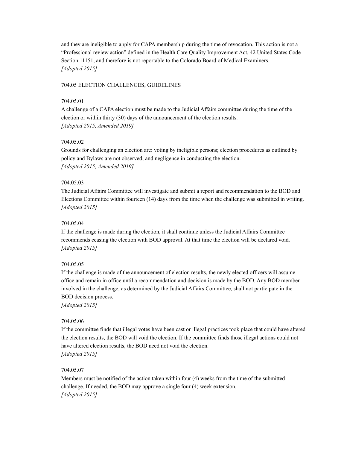and they are ineligible to apply for CAPA membership during the time of revocation. This action is not a "Professional review action" defined in the Health Care Quality Improvement Act, 42 United States Code Section 11151, and therefore is not reportable to the Colorado Board of Medical Examiners. *[Adopted 2015]*

### 704.05 ELECTION CHALLENGES, GUIDELINES

### 704.05.01

A challenge of a CAPA election must be made to the Judicial Affairs committee during the time of the election or within thirty (30) days of the announcement of the election results. *[Adopted 2015, Amended 2019]*

### 704.05.02

Grounds for challenging an election are: voting by ineligible persons; election procedures as outlined by policy and Bylaws are not observed; and negligence in conducting the election. *[Adopted 2015, Amended 2019]*

#### 704.05.03

The Judicial Affairs Committee will investigate and submit a report and recommendation to the BOD and Elections Committee within fourteen (14) days from the time when the challenge was submitted in writing. *[Adopted 2015]*

#### 704.05.04

If the challenge is made during the election, it shall continue unless the Judicial Affairs Committee recommends ceasing the election with BOD approval. At that time the election will be declared void. *[Adopted 2015]*

#### 704.05.05

If the challenge is made of the announcement of election results, the newly elected officers will assume office and remain in office until a recommendation and decision is made by the BOD. Any BOD member involved in the challenge, as determined by the Judicial Affairs Committee, shall not participate in the BOD decision process.

*[Adopted 2015]*

### 704.05.06

If the committee finds that illegal votes have been cast or illegal practices took place that could have altered the election results, the BOD will void the election. If the committee finds those illegal actions could not have altered election results, the BOD need not void the election. *[Adopted 2015]*

### 704.05.07

Members must be notified of the action taken within four (4) weeks from the time of the submitted challenge. If needed, the BOD may approve a single four (4) week extension. *[Adopted 2015]*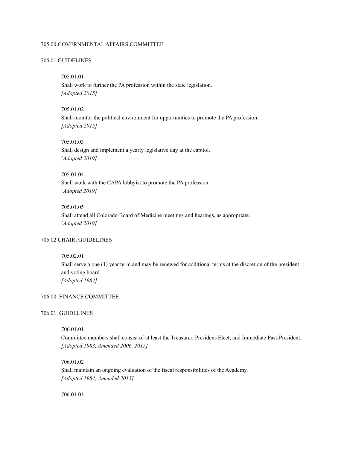### <span id="page-28-0"></span>705.00 GOVERNMENTAL AFFAIRS COMMITTEE

#### 705.01 GUIDELINES

### 705.01.01

Shall work to further the PA profession within the state legislation. *[Adopted 2015]*

#### 705.01.02

Shall monitor the political environment for opportunities to promote the PA profession. *[Adopted 2015]*

#### 705.01.03

Shall design and implement a yearly legislative day at the capitol. [*Adopted 2019]*

### 705.01.04

Shall work with the CAPA lobbyist to promote the PA profession. [*Adopted 2019]*

#### 705.01.05

Shall attend all Colorado Board of Medicine meetings and hearings, as appropriate. [*Adopted 2019]*

### 705.02 CHAIR, GUIDELINES

### 705.02.01

Shall serve a one (1) year term and may be renewed for additional terms at the discretion of the president and voting board. *[Adopted 1984]*

### <span id="page-28-1"></span>706.00 FINANCE COMMITTEE

#### 706.01 GUIDELINES

### 706.01.01

Committee members shall consist of at least the Treasurer, President-Elect, and Immediate Past-President. *[Adopted 1983, Amended 2006, 2015]*

### 706.01.02

Shall maintain an ongoing evaluation of the fiscal responsibilities of the Academy. *[Adopted 1984, Amended 2015]*

706.01.03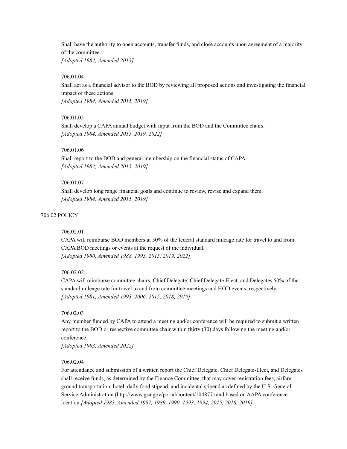Shall have the authority to open accounts, transfer funds, and close accounts upon agreement of a majority of the committee.

*[Adopted 1984, Amended 2015]*

### 706.01.04

Shall act as a financial advisor to the BOD by reviewing all proposed actions and investigating the financial impact of these actions.

*[Adopted 1984, Amended 2015, 2019]*

### 706.01.05

Shall develop a CAPA annual budget with input from the BOD and the Committee chairs. *[Adopted 1984, Amended 2015, 2019, 2022]*

### 706.01.06

Shall report to the BOD and general membership on the financial status of CAPA. *[Adopted 1984, Amended 2015. 2019]*

#### 706.01.07

Shall develop long range financial goals and continue to review, revise and expand them. *[Adopted 1984, Amended 2015, 2019]*

### 706.02 POLICY

### 706.02.01

CAPA will reimburse BOD members at 50% of the federal standard mileage rate for travel to and from CAPA BOD meetings or events at the request of the individual. *[Adopted 1980, Amended 1988, 1993, 2015, 2019, 2022]*

### 706.02.02

CAPA will reimburse committee chairs, Chief Delegate, Chief Delegate-Elect, and Delegates 50% of the standard mileage rate for travel to and from committee meetings and HOD events, respectively. *[Adopted 1981, Amended 1993, 2006, 2015, 2018, 2019]*

### 706.02.03

Any member funded by CAPA to attend a meeting and/or conference will be required to submit a written report to the BOD or respective committee chair within thirty (30) days following the meeting and/or conference.

*[Adopted 1983, Amended 2022]*

### 706.02.04

For attendance and submission of a written report the Chief Delegate, Chief Delegate-Elect, and Delegates shall receive funds, as determined by the Finance Committee, that may cover registration fees, airfare, ground transportation, hotel, daily food stipend, and incidental stipend as defined by the U.S. General Service Administration (http://www.gsa.gov/portal/content/104877) and based on AAPA conference location.*[Adopted 1983, Amended 1987, 1989, 1990, 1993, 1994, 2015, 2018, 2019]*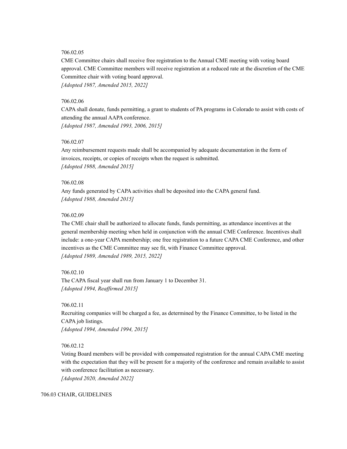### 706.02.05

CME Committee chairs shall receive free registration to the Annual CME meeting with voting board approval. CME Committee members will receive registration at a reduced rate at the discretion of the CME Committee chair with voting board approval. *[Adopted 1987, Amended 2015, 2022]*

### 706.02.06

CAPA shall donate, funds permitting, a grant to students of PA programs in Colorado to assist with costs of attending the annual AAPA conference. *[Adopted 1987, Amended 1993, 2006, 2015]*

### 706.02.07

Any reimbursement requests made shall be accompanied by adequate documentation in the form of invoices, receipts, or copies of receipts when the request is submitted. *[Adopted 1988, Amended 2015]*

#### 706.02.08

Any funds generated by CAPA activities shall be deposited into the CAPA general fund. *[Adopted 1988, Amended 2015]*

### 706.02.09

The CME chair shall be authorized to allocate funds, funds permitting, as attendance incentives at the general membership meeting when held in conjunction with the annual CME Conference. Incentives shall include: a one-year CAPA membership; one free registration to a future CAPA CME Conference, and other incentives as the CME Committee may see fit, with Finance Committee approval. *[Adopted 1989, Amended 1989, 2015, 2022]*

706.02.10 The CAPA fiscal year shall run from January 1 to December 31. *[Adopted 1994, Reaf irmed 2015]*

### 706.02.11

Recruiting companies will be charged a fee, as determined by the Finance Committee, to be listed in the CAPA job listings. *[Adopted 1994, Amended 1994, 2015]*

### 706.02.12

Voting Board members will be provided with compensated registration for the annual CAPA CME meeting with the expectation that they will be present for a majority of the conference and remain available to assist with conference facilitation as necessary.

*[Adopted 2020, Amended 2022]*

#### 706.03 CHAIR, GUIDELINES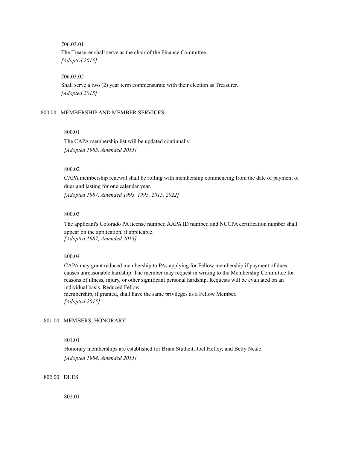706.03.01

The Treasurer shall serve as the chair of the Finance Committee. *[Adopted 2015]*

706.03.02

Shall serve a two (2) year term commensurate with their election as Treasurer. *[Adopted 2015]*

#### <span id="page-31-0"></span>800.00 MEMBERSHIP AND MEMBER SERVICES

#### 800.01

The CAPA membership list will be updated continually. *[Adopted 1985, Amended 2015]*

#### 800.02

CAPA membership renewal shall be rolling with membership commencing from the date of payment of dues and lasting for one calendar year. *[Adopted 1987, Amended 1993, 1995, 2015, 2022]*

#### 800.03

The applicant's Colorado PA license number, AAPA ID number, and NCCPA certification number shall appear on the application, if applicable. *[Adopted 1987, Amended 2015]*

### 800.04

CAPA may grant reduced membership to PAs applying for Fellow membership if payment of dues causes unreasonable hardship. The member may request in writing to the Membership Committee for reasons of illness, injury, or other significant personal hardship. Requests will be evaluated on an individual basis. Reduced Fellow membership, if granted, shall have the same privileges as a Fellow Member. *[Adopted 2015]*

### <span id="page-31-1"></span>801.00 MEMBERS, HONORARY

### 801.01

Honorary memberships are established for Brian Stutheit, Joel Hefley, and Betty Neale. *[Adopted 1984, Amended 2015]*

<span id="page-31-2"></span>802.00 DUES

802.01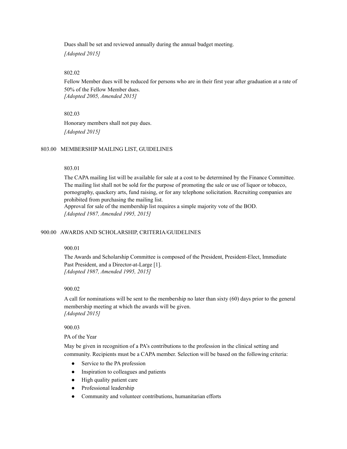Dues shall be set and reviewed annually during the annual budget meeting. *[Adopted 2015]*

#### 802.02

Fellow Member dues will be reduced for persons who are in their first year after graduation at a rate of 50% of the Fellow Member dues. *[Adopted 2005, Amended 2015]*

#### 802.03

Honorary members shall not pay dues. *[Adopted 2015]*

### <span id="page-32-0"></span>803.00 MEMBERSHIP MAILING LIST, GUIDELINES

### 803.01

The CAPA mailing list will be available for sale at a cost to be determined by the Finance Committee. The mailing list shall not be sold for the purpose of promoting the sale or use of liquor or tobacco, pornography, quackery arts, fund raising, or for any telephone solicitation. Recruiting companies are prohibited from purchasing the mailing list. Approval for sale of the membership list requires a simple majority vote of the BOD.

*[Adopted 1987, Amended 1995, 2015]*

### <span id="page-32-1"></span>900.00 AWARDS AND SCHOLARSHIP, CRITERIA/GUIDELINES

### 900.01

The Awards and Scholarship Committee is composed of the President, President-Elect, Immediate Past President, and a Director-at-Large [1]. *[Adopted 1987, Amended 1995, 2015]*

#### 900.02

A call for nominations will be sent to the membership no later than sixty (60) days prior to the general membership meeting at which the awards will be given. *[Adopted 2015]*

#### 900.03

PA of the Year

May be given in recognition of a PA's contributions to the profession in the clinical setting and community. Recipients must be a CAPA member. Selection will be based on the following criteria:

- Service to the PA profession
- Inspiration to colleagues and patients
- High quality patient care
- Professional leadership
- Community and volunteer contributions, humanitarian efforts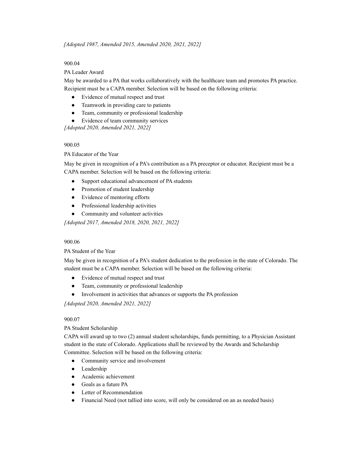### 900.04

### PA Leader Award

May be awarded to a PA that works collaboratively with the healthcare team and promotes PA practice. Recipient must be a CAPA member. Selection will be based on the following criteria:

- Evidence of mutual respect and trust
- Teamwork in providing care to patients
- Team, community or professional leadership
- Evidence of team community services

*[Adopted 2020, Amended 2021, 2022]*

### 900.05

PA Educator of the Year

May be given in recognition of a PA's contribution as a PA preceptor or educator. Recipient must be a CAPA member. Selection will be based on the following criteria:

- Support educational advancement of PA students
- Promotion of student leadership
- Evidence of mentoring efforts
- Professional leadership activities
- Community and volunteer activities

*[Adopted 2017, Amended 2018, 2020, 2021, 2022]*

### 900.06

### PA Student of the Year

May be given in recognition of a PA's student dedication to the profession in the state of Colorado. The student must be a CAPA member. Selection will be based on the following criteria:

- Evidence of mutual respect and trust
- Team, community or professional leadership
- Involvement in activities that advances or supports the PA profession

*[Adopted 2020, Amended 2021, 2022]*

### 900.07

### PA Student Scholarship

CAPA will award up to two (2) annual student scholarships, funds permitting, to a Physician Assistant student in the state of Colorado. Applications shall be reviewed by the Awards and Scholarship Committee. Selection will be based on the following criteria:

- Community service and involvement
- Leadership
- Academic achievement
- Goals as a future PA
- Letter of Recommendation
- Financial Need (not tallied into score, will only be considered on an as needed basis)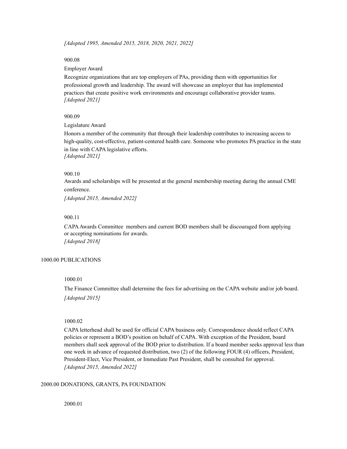*[Adopted 1995, Amended 2015, 2018, 2020, 2021, 2022]*

### 900.08

#### Employer Award

Recognize organizations that are top employers of PAs, providing them with opportunities for professional growth and leadership. The award will showcase an employer that has implemented practices that create positive work environments and encourage collaborative provider teams. *[Adopted 2021]*

### 900.09

#### Legislature Award

Honors a member of the community that through their leadership contributes to increasing access to high-quality, cost-effective, patient-centered health care. Someone who promotes PA practice in the state in line with CAPA legislative efforts. *[Adopted 2021]*

#### 900.10

Awards and scholarships will be presented at the general membership meeting during the annual CME conference.

*[Adopted 2015, Amended 2022]*

### 900.11

CAPAAwards Committee members and current BOD members shall be discouraged from applying or accepting nominations for awards. *[Adopted 2018]*

#### <span id="page-34-0"></span>1000.00 PUBLICATIONS

### 1000.01

The Finance Committee shall determine the fees for advertising on the CAPA website and/or job board. *[Adopted 2015]*

### 1000.02

CAPA letterhead shall be used for official CAPA business only. Correspondence should reflect CAPA policies or represent a BOD's position on behalf of CAPA. With exception of the President, board members shall seek approval of the BOD prior to distribution. If a board member seeks approval less than one week in advance of requested distribution, two (2) of the following FOUR (4) officers, President, President-Elect, Vice President, or Immediate Past President, shall be consulted for approval. *[Adopted 2015, Amended 2022]*

#### <span id="page-34-1"></span>2000.00 DONATIONS, GRANTS, PA FOUNDATION

2000.01